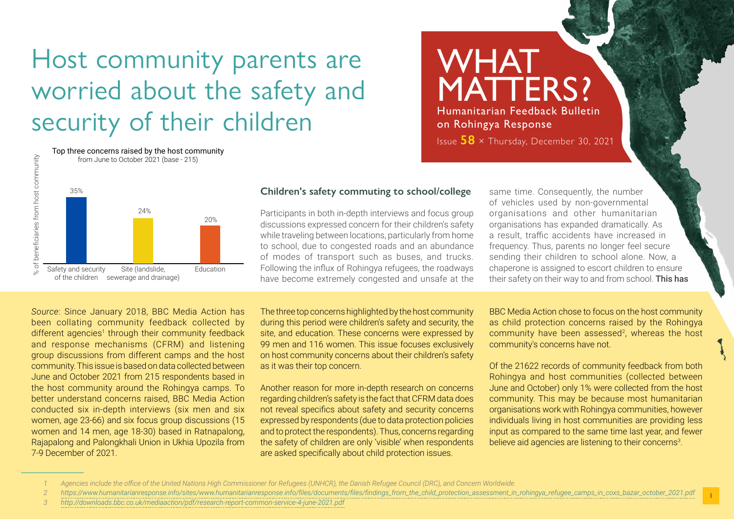# Host community parents are worried about the safety and security of their children



Top three concerns raised by the host community

# **Children's safety commuting to school/college**

Participants in both in-depth interviews and focus group discussions expressed concern for their children's safety while traveling between locations, particularly from home to school, due to congested roads and an abundance of modes of transport such as buses, and trucks. Following the influx of Rohingya refugees, the roadways have become extremely congested and unsafe at the same time. Consequently, the number of vehicles used by non-governmental organisations and other humanitarian organisations has expanded dramatically. As a result, traffic accidents have increased in frequency. Thus, parents no longer feel secure sending their children to school alone. Now, a chaperone is assigned to escort children to ensure their safety on their way to and from school. This has

**WHAT** 

on Rohingya Response

MATTERS?

Humanitarian Feedback Bulletin

Issue **58** × Thursday, December 30, 2021

*Source*: Since January 2018, BBC Media Action has been collating community feedback collected by different agencies<sup>1</sup> through their community feedback and response mechanisms (CFRM) and listening group discussions from different camps and the host community. This issue is based on data collected between June and October 2021 from 215 respondents based in the host community around the Rohingya camps. To better understand concerns raised, BBC Media Action conducted six in-depth interviews (six men and six women, age 23-66) and six focus group discussions (15 women and 14 men, age 18-30) based in Ratnapalong, Rajapalong and Palongkhali Union in Ukhia Upozila from 7-9 December of 2021.

The three top concerns highlighted by the host community during this period were children's safety and security, the site, and education. These concerns were expressed by 99 men and 116 women. This issue focuses exclusively on host community concerns about their children's safety as it was their top concern.

Another reason for more in-depth research on concerns regarding children's safety is the fact that CFRM data does not reveal specifics about safety and security concerns expressed by respondents (due to data protection policies and to protect the respondents). Thus, concerns regarding the safety of children are only 'visible' when respondents are asked specifically about child protection issues.

BBC Media Action chose to focus on the host community as child protection concerns raised by the Rohingya community have been assessed<sup>2</sup>, whereas the host community's concerns have not.

Of the 21622 records of community feedback from both Rohingya and host communities (collected between June and October) only 1% were collected from the host community. This may be because most humanitarian organisations work with Rohingya communities, however individuals living in host communities are providing less input as compared to the same time last year, and fewer believe aid agencies are listening to their concerns<sup>3</sup>.

Agencies include the office of the United Nations High Commissioner for Refugees (UNHCR), the Danish Refugee Council (DRC), and Concern Worldwide.

*<sup>2</sup> [https://www.humanitarianresponse.info/sites/www.humanitarianresponse.info/files/documents/files/findings\\_from\\_the\\_child\\_protection\\_assessment\\_in\\_rohingya\\_refugee\\_camps\\_in\\_coxs\\_bazar\\_october\\_2021.pdf](https://www.humanitarianresponse.info/sites/www.humanitarianresponse.info/files/documents/files/findings_from_the_child_protection_assessment_in_rohingya_refugee_camps_in_coxs_bazar_october_2021.pdf)*

*<sup>3</sup> <http://downloads.bbc.co.uk/mediaaction/pdf/research-report-common-service-4-june-2021.pdf>*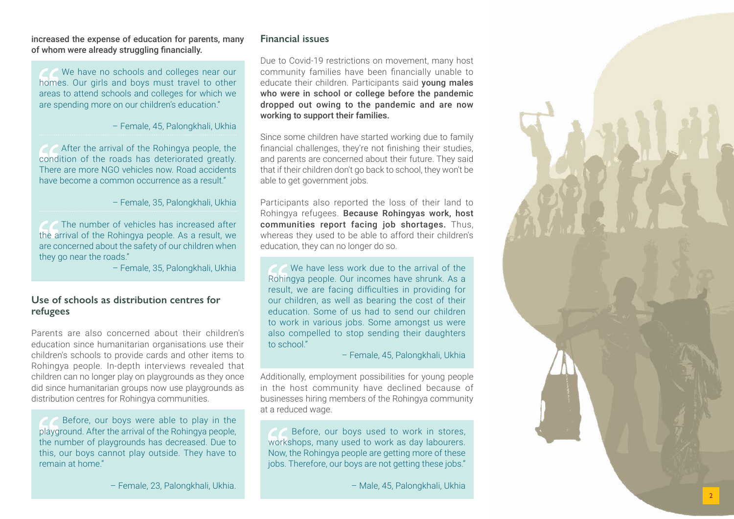increased the expense of education for parents, many of whom were already struggling financially.

We have no schools and colleges near our homes. Our girls and boys must travel to other areas to attend schools and colleges for which we are spending more on our children's education."

– Female, 45, Palongkhali, Ukhia

 After the arrival of the Rohingya people, the condition of the roads has deteriorated greatly. There are more NGO vehicles now. Road accidents have become a common occurrence as a result."

– Female, 35, Palongkhali, Ukhia

 The number of vehicles has increased after the arrival of the Rohingya people. As a result, we are concerned about the safety of our children when they go near the roads."

– Female, 35, Palongkhali, Ukhia

## **Use of schools as distribution centres for refugees**

Parents are also concerned about their children's education since humanitarian organisations use their children's schools to provide cards and other items to Rohingya people. In-depth interviews revealed that children can no longer play on playgrounds as they once did since humanitarian groups now use playgrounds as distribution centres for Rohingya communities.

 Before, our boys were able to play in the playground. After the arrival of the Rohingya people, the number of playgrounds has decreased. Due to this, our boys cannot play outside. They have to remain at home."

– Female, 23, Palongkhali, Ukhia.

## **Financial issues**

Due to Covid-19 restrictions on movement, many host community families have been financially unable to educate their children. Participants said voung males who were in school or college before the pandemic dropped out owing to the pandemic and are now working to support their families.

Since some children have started working due to family financial challenges, they're not finishing their studies, and parents are concerned about their future. They said that if their children don't go back to school, they won't be able to get government jobs.

Participants also reported the loss of their land to Rohingya refugees. Because Rohingyas work, host communities report facing job shortages. Thus, whereas they used to be able to afford their children's education, they can no longer do so.

We have less work due to the arrival of the Rohingya people. Our incomes have shrunk. As a result, we are facing difficulties in providing for our children, as well as bearing the cost of their education. Some of us had to send our children to work in various jobs. Some amongst us were also compelled to stop sending their daughters to school."

– Female, 45, Palongkhali, Ukhia

Additionally, employment possibilities for young people in the host community have declined because of businesses hiring members of the Rohingya community at a reduced wage.

 Before, our boys used to work in stores, workshops, many used to work as day labourers. Now, the Rohingya people are getting more of these jobs. Therefore, our boys are not getting these jobs."

– Male, 45, Palongkhali, Ukhia

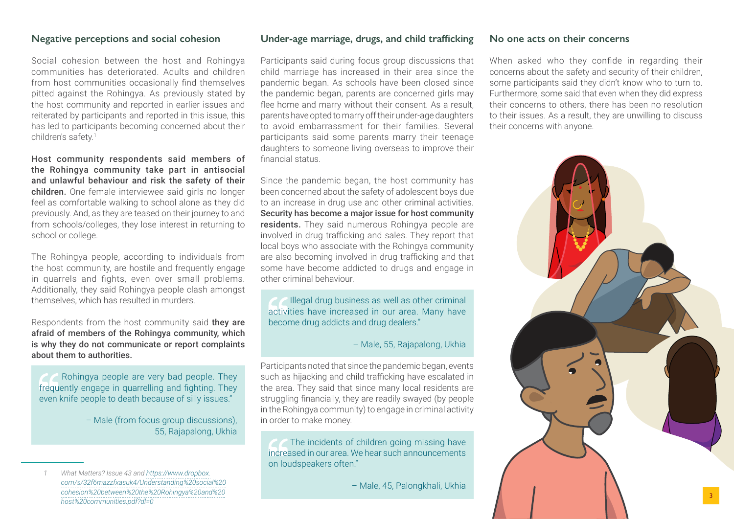#### **Negative perceptions and social cohesion**

Social cohesion between the host and Rohingya communities has deteriorated. Adults and children from host communities occasionally find themselves pitted against the Rohingya. As previously stated by the host community and reported in earlier issues and reiterated by participants and reported in this issue, this has led to participants becoming concerned about their children's safety.<sup>1</sup>

Host community respondents said members of the Rohingya community take part in antisocial and unlawful behaviour and risk the safety of their children. One female interviewee said girls no longer feel as comfortable walking to school alone as they did previously. And, as they are teased on their journey to and from schools/colleges, they lose interest in returning to school or college.

The Rohingya people, according to individuals from the host community, are hostile and frequently engage in quarrels and fights, even over small problems. Additionally, they said Rohingya people clash amongst themselves, which has resulted in murders.

Respondents from the host community said they are afraid of members of the Rohingya community, which is why they do not communicate or report complaints about them to authorities.

 Rohingya people are very bad people. They frequently engage in quarrelling and fighting. They even knife people to death because of silly issues."

> – Male (from focus group discussions), 55, Rajapalong, Ukhia

#### **Under-age marriage, drugs, and child trafficking**

Participants said during focus group discussions that child marriage has increased in their area since the pandemic began. As schools have been closed since the pandemic began, parents are concerned girls may flee home and marry without their consent. As a result, parents have opted to marry off their under-age daughters to avoid embarrassment for their families. Several participants said some parents marry their teenage daughters to someone living overseas to improve their financial status.

Since the pandemic began, the host community has been concerned about the safety of adolescent boys due to an increase in drug use and other criminal activities. Security has become a major issue for host community residents. They said numerous Rohingya people are involved in drug trafficking and sales. They report that local boys who associate with the Rohingya community are also becoming involved in drug trafficking and that some have become addicted to drugs and engage in other criminal behaviour.

Illegal drug business as well as other criminal activities have increased in our area. Many have become drug addicts and drug dealers."

#### – Male, 55, Rajapalong, Ukhia

Participants noted that since the pandemic began, events such as hijacking and child trafficking have escalated in the area. They said that since many local residents are struggling financially, they are readily swayed (by people in the Rohingya community) to engage in criminal activity in order to make money.

The incidents of children going missing have increased in our area. We hear such announcements on loudspeakers often."

– Male, 45, Palongkhali, Ukhia

#### **No one acts on their concerns**

When asked who they confide in regarding their concerns about the safety and security of their children, some participants said they didn't know who to turn to. Furthermore, some said that even when they did express their concerns to others, there has been no resolution to their issues. As a result, they are unwilling to discuss their concerns with anyone.



*<sup>1</sup> What Matters? Issue 43 and [https://www.dropbox.](https://www.dropbox.com/s/32f6mazzfxasuk4/Understanding%20social%20cohesion%20between%20the%20Rohingya%20and%20host%20communities.pdf?dl=0) [com/s/32f6mazzfxasuk4/Understanding%20social%20](https://www.dropbox.com/s/32f6mazzfxasuk4/Understanding%20social%20cohesion%20between%20the%20Rohingya%20and%20host%20communities.pdf?dl=0) [cohesion%20between%20the%20Rohingya%20and%20](https://www.dropbox.com/s/32f6mazzfxasuk4/Understanding%20social%20cohesion%20between%20the%20Rohingya%20and%20host%20communities.pdf?dl=0) [host%20communities.pdf?dl=0](https://www.dropbox.com/s/32f6mazzfxasuk4/Understanding%20social%20cohesion%20between%20the%20Rohingya%20and%20host%20communities.pdf?dl=0)*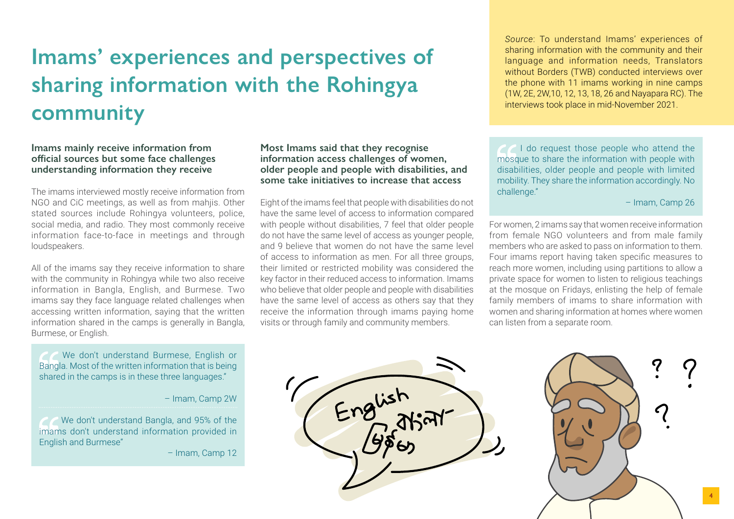# **Imams' experiences and perspectives of sharing information with the Rohingya community**

**Imams mainly receive information from official sources but some face challenges understanding information they receive**

The imams interviewed mostly receive information from NGO and CiC meetings, as well as from mahjis. Other stated sources include Rohingya volunteers, police, social media, and radio. They most commonly receive information face-to-face in meetings and through loudspeakers.

All of the imams say they receive information to share with the community in Rohingya while two also receive information in Bangla, English, and Burmese. Two imams say they face language related challenges when accessing written information, saying that the written information shared in the camps is generally in Bangla, Burmese, or English.

 We don't understand Burmese, English or Bangla. Most of the written information that is being shared in the camps is in these three languages."

– Imam, Camp 2W

 We don't understand Bangla, and 95% of the imams don't understand information provided in English and Burmese"

– Imam, Camp 12

**Most Imams said that they recognise information access challenges of women, older people and people with disabilities, and some take initiatives to increase that access**

Eight of the imams feel that people with disabilities do not have the same level of access to information compared with people without disabilities, 7 feel that older people do not have the same level of access as younger people, and 9 believe that women do not have the same level of access to information as men. For all three groups, their limited or restricted mobility was considered the key factor in their reduced access to information. Imams who believe that older people and people with disabilities have the same level of access as others say that they receive the information through imams paying home visits or through family and community members.

*Source*: To understand Imams' experiences of sharing information with the community and their language and information needs, Translators without Borders (TWB) conducted interviews over the phone with 11 imams working in nine camps (1W, 2E, 2W,10, 12, 13, 18, 26 and Nayapara RC). The interviews took place in mid-November 2021.

**I** do request those people who attend the mosque to share the information with people with disabilities, older people and people with limited mobility. They share the information accordingly. No challenge."

– Imam, Camp 26

For women, 2 imams say that women receive information from female NGO volunteers and from male family members who are asked to pass on information to them. Four imams report having taken specific measures to reach more women, including using partitions to allow a private space for women to listen to religious teachings at the mosque on Fridays, enlisting the help of female family members of imams to share information with women and sharing information at homes where women can listen from a separate room.